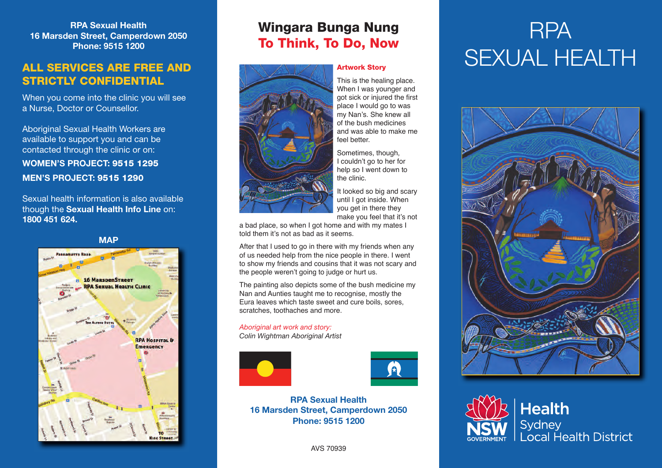**RPA Sexual Health 16 Marsden Street, Camperdown 2050 Phone: 9515 1200**

### **ALL SERVICES ARE FREE AND STRICTLY CONFIDENTIAL**

When you come into the clinic you will see a Nurse, Doctor or Counsellor.

Aboriginal Sexual Health Workers are available to support you and can be contacted through the clinic or on: **WOMEN'S PROJECT: 9515 1295**

**MEN'S PROJECT: 9515 1290**

Sexual health information is also available though the **Sexual Health Info Line** on: **1800 451 624.** 



### **Wingara Bunga Nung To Think, To Do, Now**



#### **Artwork Story**

This is the healing place. When I was younger and got sick or injured the first place I would go to was my Nan's. She knew all of the bush medicines and was able to make me feel better.

Sometimes, though, I couldn't go to her for help so I went down to the clinic.

It looked so big and scary until I got inside. When you get in there they make you feel that it's not

a bad place, so when I got home and with my mates I told them it's not as bad as it seems.

After that I used to go in there with my friends when any of us needed help from the nice people in there. I went to show my friends and cousins that it was not scary and the people weren't going to judge or hurt us.

The painting also depicts some of the bush medicine my Nan and Aunties taught me to recognise, mostly the Eura leaves which taste sweet and cure boils, sores, scratches, toothaches and more.

*Aboriginal art work and story: Colin Wightman Aboriginal Artist*





**RPA Sexual Health 16 Marsden Street, Camperdown 2050 Phone: 9515 1200**

#### AVS 70939

# RPA SEXUAL HEALTH